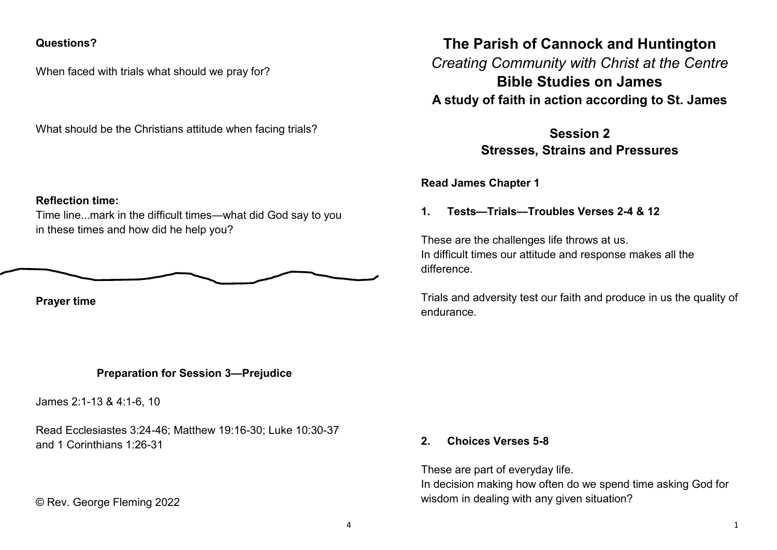### **Questions?**

When faced with trials what should we pray for?

What should be the Christians attitude when facing trials?

#### **Reflection time:**

Time line...mark in the difficult times—what did God say to you in these times and how did he help you?

$$
\underbrace{\hskip2.7cm}
$$

**Prayer time**

# **Preparation for Session 3—Prejudice**

James 2:1-13 & 4:1-6, 10

Read Ecclesiastes 3:24-46; Matthew 19:16-30; Luke 10:30-37 and 1 Corinthians 1:26-31

© Rev. George Fleming 2022

**The Parish of Cannock and Huntington**

*Creating Community with Christ at the Centre* **Bible Studies on James A study of faith in action according to St. James**

> **Session 2 Stresses, Strains and Pressures**

**Read James Chapter 1** 

**1. Tests—Trials—Troubles Verses 2-4 & 12**

These are the challenges life throws at us. In difficult times our attitude and response makes all the difference.

Trials and adversity test our faith and produce in us the quality of endurance.

#### **2. Choices Verses 5-8**

These are part of everyday life. In decision making how often do we spend time asking God for wisdom in dealing with any given situation?